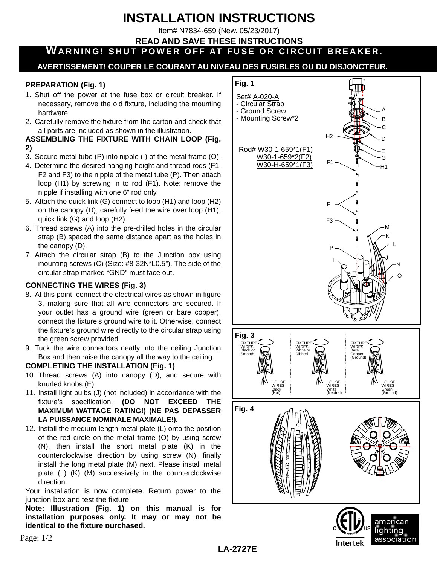# **INSTALLATION INSTRUCTIONS**

Item# N7834-659 (New. 05/23/2017)

#### **READ AND SAVE THESE INSTRUCTIONS**

**WARNING! SHUT POWER OFF AT FUSE OR CIRCUIT BREAKER.**

# **AVERTISSEMENT! COUPER LE COURANT AU NIVEAU DES FUSIBLES OU DU DISJONCTEUR.**

#### **PREPARATION (Fig. 1)**

- 1. Shut off the power at the fuse box or circuit breaker. If necessary, remove the old fixture, including the mounting hardware.
- 2. Carefully remove the fixture from the carton and check that all parts are included as shown in the illustration.

#### **ASSEMBLING THE FIXTURE WITH CHAIN LOOP (Fig. 2)**

- 3. Secure metal tube (P) into nipple (I) of the metal frame (O).
- 4. Determine the desired hanging height and thread rods (F1, F2 and F3) to the nipple of the metal tube (P). Then attach loop (H1) by screwing in to rod (F1). Note: remove the nipple if installing with one 6" rod only.
- 5. Attach the quick link (G) connect to loop (H1) and loop (H2) on the canopy (D), carefully feed the wire over loop (H1), quick link (G) and loop (H2).
- 6. Thread screws (A) into the pre-drilled holes in the circular strap (B) spaced the same distance apart as the holes in the canopy (D).
- 7. Attach the circular strap (B) to the Junction box using mounting screws (C) (Size: #8-32N\*L0.5"). The side of the circular strap marked "GND" must face out.

## **CONNECTING THE WIRES (Fig. 3)**

- 8. At this point, connect the electrical wires as shown in figure 3, making sure that all wire connectors are secured. If your outlet has a ground wire (green or bare copper), connect the fixture's ground wire to it. Otherwise, connect the fixture's ground wire directly to the circular strap using the green screw provided.
- 9. Tuck the wire connectors neatly into the ceiling Junction Box and then raise the canopy all the way to the ceiling.

## **COMPLETING THE INSTALLATION (Fig. 1)**

- 10. Thread screws (A) into canopy (D), and secure with knurled knobs (E).
- 11. Install light bulbs (J) (not included) in accordance with the fixture's specification. **(DO NOT EXCEED THE MAXIMUM WATTAGE RATING!) (NE PAS DEPASSER LA PUISSANCE NOMINALE MAXIMALE!).**
- 12. Install the medium-length metal plate (L) onto the position of the red circle on the metal frame (O) by using screw (N), then install the short metal plate (K) in the counterclockwise direction by using screw (N), finally install the long metal plate (M) next. Please install metal plate (L) (K) (M) successively in the counterclockwise direction.

Your installation is now complete. Return power to the junction box and test the fixture.

**Note: Illustration (Fig. 1) on this manual is for installation purposes only. It may or may not be identical to the fixture purchased.**



**Intertek** 

Page: 1/2

**LA-2727E**